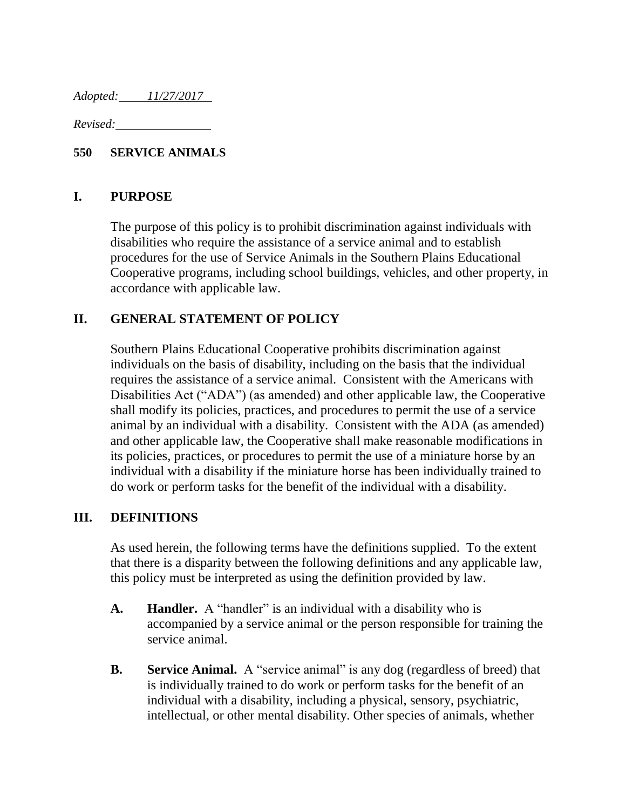*Adopted: 11/27/2017* 

*Revised:* 

#### **550 SERVICE ANIMALS**

#### **I. PURPOSE**

The purpose of this policy is to prohibit discrimination against individuals with disabilities who require the assistance of a service animal and to establish procedures for the use of Service Animals in the Southern Plains Educational Cooperative programs, including school buildings, vehicles, and other property, in accordance with applicable law.

### **II. GENERAL STATEMENT OF POLICY**

Southern Plains Educational Cooperative prohibits discrimination against individuals on the basis of disability, including on the basis that the individual requires the assistance of a service animal. Consistent with the Americans with Disabilities Act ("ADA") (as amended) and other applicable law, the Cooperative shall modify its policies, practices, and procedures to permit the use of a service animal by an individual with a disability. Consistent with the ADA (as amended) and other applicable law, the Cooperative shall make reasonable modifications in its policies, practices, or procedures to permit the use of a miniature horse by an individual with a disability if the miniature horse has been individually trained to do work or perform tasks for the benefit of the individual with a disability.

### **III. DEFINITIONS**

As used herein, the following terms have the definitions supplied. To the extent that there is a disparity between the following definitions and any applicable law, this policy must be interpreted as using the definition provided by law.

- **A. Handler.** A "handler" is an individual with a disability who is accompanied by a service animal or the person responsible for training the service animal.
- **B. Service Animal.** A "service animal" is any dog (regardless of breed) that is individually trained to do work or perform tasks for the benefit of an individual with a disability, including a physical, sensory, psychiatric, intellectual, or other mental disability. Other species of animals, whether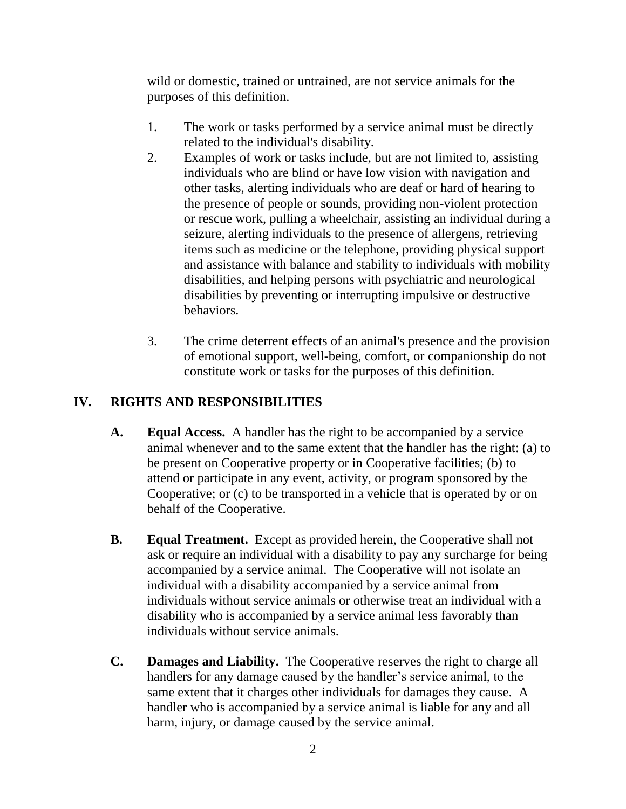wild or domestic, trained or untrained, are not service animals for the purposes of this definition.

- 1. The work or tasks performed by a service animal must be directly related to the individual's disability.
- 2. Examples of work or tasks include, but are not limited to, assisting individuals who are blind or have low vision with navigation and other tasks, alerting individuals who are deaf or hard of hearing to the presence of people or sounds, providing non-violent protection or rescue work, pulling a wheelchair, assisting an individual during a seizure, alerting individuals to the presence of allergens, retrieving items such as medicine or the telephone, providing physical support and assistance with balance and stability to individuals with mobility disabilities, and helping persons with psychiatric and neurological disabilities by preventing or interrupting impulsive or destructive behaviors.
- 3. The crime deterrent effects of an animal's presence and the provision of emotional support, well-being, comfort, or companionship do not constitute work or tasks for the purposes of this definition.

# **IV. RIGHTS AND RESPONSIBILITIES**

- **A. Equal Access.** A handler has the right to be accompanied by a service animal whenever and to the same extent that the handler has the right: (a) to be present on Cooperative property or in Cooperative facilities; (b) to attend or participate in any event, activity, or program sponsored by the Cooperative; or (c) to be transported in a vehicle that is operated by or on behalf of the Cooperative.
- **B. Equal Treatment.** Except as provided herein, the Cooperative shall not ask or require an individual with a disability to pay any surcharge for being accompanied by a service animal. The Cooperative will not isolate an individual with a disability accompanied by a service animal from individuals without service animals or otherwise treat an individual with a disability who is accompanied by a service animal less favorably than individuals without service animals.
- **C. Damages and Liability.** The Cooperative reserves the right to charge all handlers for any damage caused by the handler's service animal, to the same extent that it charges other individuals for damages they cause. A handler who is accompanied by a service animal is liable for any and all harm, injury, or damage caused by the service animal.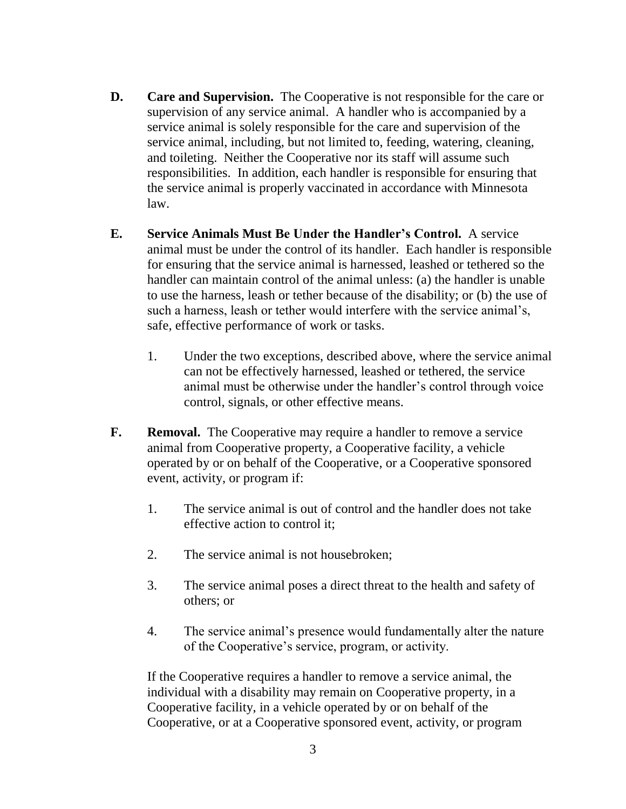- **D. Care and Supervision.** The Cooperative is not responsible for the care or supervision of any service animal. A handler who is accompanied by a service animal is solely responsible for the care and supervision of the service animal, including, but not limited to, feeding, watering, cleaning, and toileting. Neither the Cooperative nor its staff will assume such responsibilities. In addition, each handler is responsible for ensuring that the service animal is properly vaccinated in accordance with Minnesota law.
- **E. Service Animals Must Be Under the Handler's Control.** A service animal must be under the control of its handler. Each handler is responsible for ensuring that the service animal is harnessed, leashed or tethered so the handler can maintain control of the animal unless: (a) the handler is unable to use the harness, leash or tether because of the disability; or (b) the use of such a harness, leash or tether would interfere with the service animal's, safe, effective performance of work or tasks.
	- 1. Under the two exceptions, described above, where the service animal can not be effectively harnessed, leashed or tethered, the service animal must be otherwise under the handler's control through voice control, signals, or other effective means.
- **F. Removal.** The Cooperative may require a handler to remove a service animal from Cooperative property, a Cooperative facility, a vehicle operated by or on behalf of the Cooperative, or a Cooperative sponsored event, activity, or program if:
	- 1. The service animal is out of control and the handler does not take effective action to control it;
	- 2. The service animal is not housebroken;
	- 3. The service animal poses a direct threat to the health and safety of others; or
	- 4. The service animal's presence would fundamentally alter the nature of the Cooperative's service, program, or activity.

If the Cooperative requires a handler to remove a service animal, the individual with a disability may remain on Cooperative property, in a Cooperative facility, in a vehicle operated by or on behalf of the Cooperative, or at a Cooperative sponsored event, activity, or program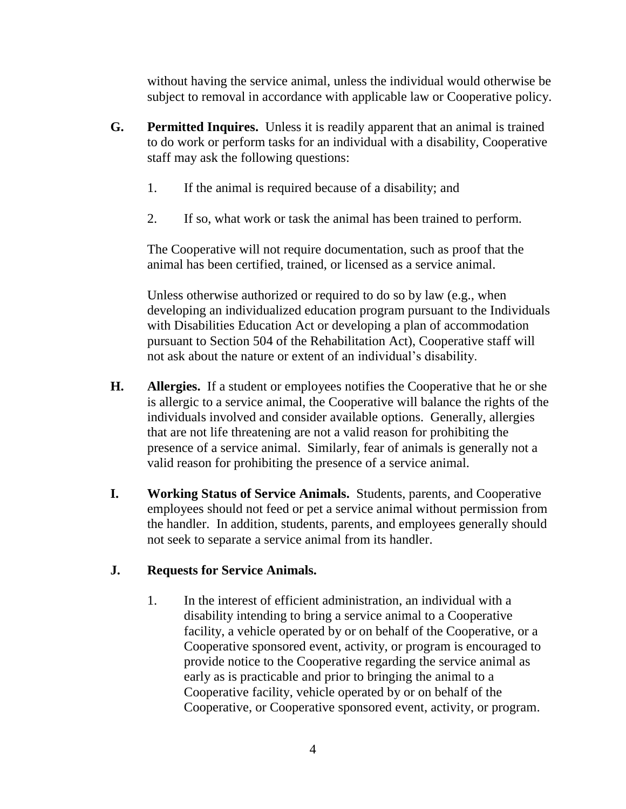without having the service animal, unless the individual would otherwise be subject to removal in accordance with applicable law or Cooperative policy.

- **G. Permitted Inquires.** Unless it is readily apparent that an animal is trained to do work or perform tasks for an individual with a disability, Cooperative staff may ask the following questions:
	- 1. If the animal is required because of a disability; and
	- 2. If so, what work or task the animal has been trained to perform.

The Cooperative will not require documentation, such as proof that the animal has been certified, trained, or licensed as a service animal.

Unless otherwise authorized or required to do so by law (e.g., when developing an individualized education program pursuant to the Individuals with Disabilities Education Act or developing a plan of accommodation pursuant to Section 504 of the Rehabilitation Act), Cooperative staff will not ask about the nature or extent of an individual's disability.

- **H. Allergies.** If a student or employees notifies the Cooperative that he or she is allergic to a service animal, the Cooperative will balance the rights of the individuals involved and consider available options. Generally, allergies that are not life threatening are not a valid reason for prohibiting the presence of a service animal. Similarly, fear of animals is generally not a valid reason for prohibiting the presence of a service animal.
- **I. Working Status of Service Animals.** Students, parents, and Cooperative employees should not feed or pet a service animal without permission from the handler. In addition, students, parents, and employees generally should not seek to separate a service animal from its handler.

## **J. Requests for Service Animals.**

1. In the interest of efficient administration, an individual with a disability intending to bring a service animal to a Cooperative facility, a vehicle operated by or on behalf of the Cooperative, or a Cooperative sponsored event, activity, or program is encouraged to provide notice to the Cooperative regarding the service animal as early as is practicable and prior to bringing the animal to a Cooperative facility, vehicle operated by or on behalf of the Cooperative, or Cooperative sponsored event, activity, or program.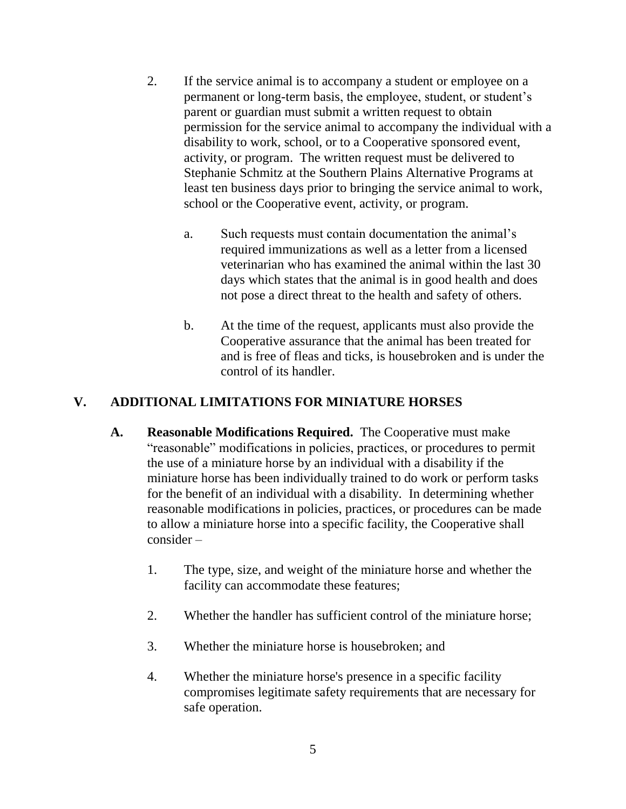- 2. If the service animal is to accompany a student or employee on a permanent or long-term basis, the employee, student, or student's parent or guardian must submit a written request to obtain permission for the service animal to accompany the individual with a disability to work, school, or to a Cooperative sponsored event, activity, or program. The written request must be delivered to Stephanie Schmitz at the Southern Plains Alternative Programs at least ten business days prior to bringing the service animal to work, school or the Cooperative event, activity, or program.
	- a. Such requests must contain documentation the animal's required immunizations as well as a letter from a licensed veterinarian who has examined the animal within the last 30 days which states that the animal is in good health and does not pose a direct threat to the health and safety of others.
	- b. At the time of the request, applicants must also provide the Cooperative assurance that the animal has been treated for and is free of fleas and ticks, is housebroken and is under the control of its handler.

### **V. ADDITIONAL LIMITATIONS FOR MINIATURE HORSES**

- **A. Reasonable Modifications Required.** The Cooperative must make "reasonable" modifications in policies, practices, or procedures to permit the use of a miniature horse by an individual with a disability if the miniature horse has been individually trained to do work or perform tasks for the benefit of an individual with a disability. In determining whether reasonable modifications in policies, practices, or procedures can be made to allow a miniature horse into a specific facility, the Cooperative shall consider –
	- 1. The type, size, and weight of the miniature horse and whether the facility can accommodate these features;
	- 2. Whether the handler has sufficient control of the miniature horse;
	- 3. Whether the miniature horse is housebroken; and
	- 4. Whether the miniature horse's presence in a specific facility compromises legitimate safety requirements that are necessary for safe operation.